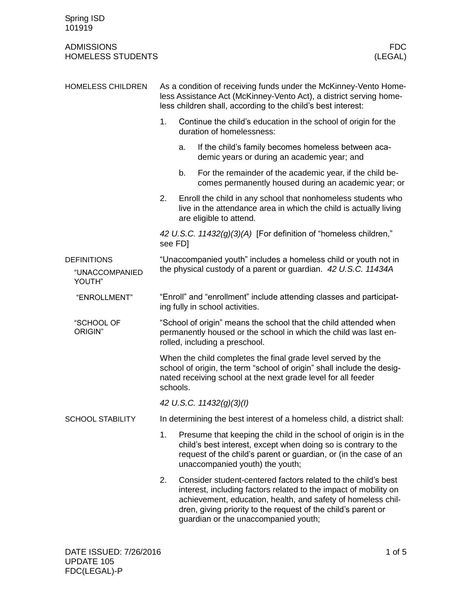| Spring ISD<br>101919                           |                                                                                                                                                                                                                     |    |                                                                                                                                                                                                                                                                                                            |  |  |
|------------------------------------------------|---------------------------------------------------------------------------------------------------------------------------------------------------------------------------------------------------------------------|----|------------------------------------------------------------------------------------------------------------------------------------------------------------------------------------------------------------------------------------------------------------------------------------------------------------|--|--|
| <b>ADMISSIONS</b><br><b>HOMELESS STUDENTS</b>  |                                                                                                                                                                                                                     |    | FDC.<br>(LEGAL)                                                                                                                                                                                                                                                                                            |  |  |
| <b>HOMELESS CHILDREN</b>                       |                                                                                                                                                                                                                     |    | As a condition of receiving funds under the McKinney-Vento Home-<br>less Assistance Act (McKinney-Vento Act), a district serving home-<br>less children shall, according to the child's best interest:                                                                                                     |  |  |
|                                                | 1.                                                                                                                                                                                                                  |    | Continue the child's education in the school of origin for the<br>duration of homelessness:                                                                                                                                                                                                                |  |  |
|                                                |                                                                                                                                                                                                                     | a. | If the child's family becomes homeless between aca-<br>demic years or during an academic year; and                                                                                                                                                                                                         |  |  |
|                                                |                                                                                                                                                                                                                     | b. | For the remainder of the academic year, if the child be-<br>comes permanently housed during an academic year; or                                                                                                                                                                                           |  |  |
|                                                | 2.                                                                                                                                                                                                                  |    | Enroll the child in any school that nonhomeless students who<br>live in the attendance area in which the child is actually living<br>are eligible to attend.                                                                                                                                               |  |  |
|                                                | see FD]                                                                                                                                                                                                             |    | 42 U.S.C. 11432(g)(3)(A) [For definition of "homeless children,"                                                                                                                                                                                                                                           |  |  |
| <b>DEFINITIONS</b><br>"UNACCOMPANIED<br>YOUTH" | "Unaccompanied youth" includes a homeless child or youth not in<br>the physical custody of a parent or guardian. 42 U.S.C. 11434A                                                                                   |    |                                                                                                                                                                                                                                                                                                            |  |  |
| "ENROLLMENT"                                   |                                                                                                                                                                                                                     |    | "Enroll" and "enrollment" include attending classes and participat-<br>ing fully in school activities.                                                                                                                                                                                                     |  |  |
| "SCHOOL OF<br>ORIGIN"                          | "School of origin" means the school that the child attended when<br>permanently housed or the school in which the child was last en-<br>rolled, including a preschool.                                              |    |                                                                                                                                                                                                                                                                                                            |  |  |
|                                                | When the child completes the final grade level served by the<br>school of origin, the term "school of origin" shall include the desig-<br>nated receiving school at the next grade level for all feeder<br>schools. |    |                                                                                                                                                                                                                                                                                                            |  |  |
|                                                | 42 U.S.C. 11432(g)(3)(l)                                                                                                                                                                                            |    |                                                                                                                                                                                                                                                                                                            |  |  |
| <b>SCHOOL STABILITY</b>                        | In determining the best interest of a homeless child, a district shall:                                                                                                                                             |    |                                                                                                                                                                                                                                                                                                            |  |  |
|                                                | 1.                                                                                                                                                                                                                  |    | Presume that keeping the child in the school of origin is in the<br>child's best interest, except when doing so is contrary to the<br>request of the child's parent or guardian, or (in the case of an<br>unaccompanied youth) the youth;                                                                  |  |  |
|                                                | 2.                                                                                                                                                                                                                  |    | Consider student-centered factors related to the child's best<br>interest, including factors related to the impact of mobility on<br>achievement, education, health, and safety of homeless chil-<br>dren, giving priority to the request of the child's parent or<br>guardian or the unaccompanied youth; |  |  |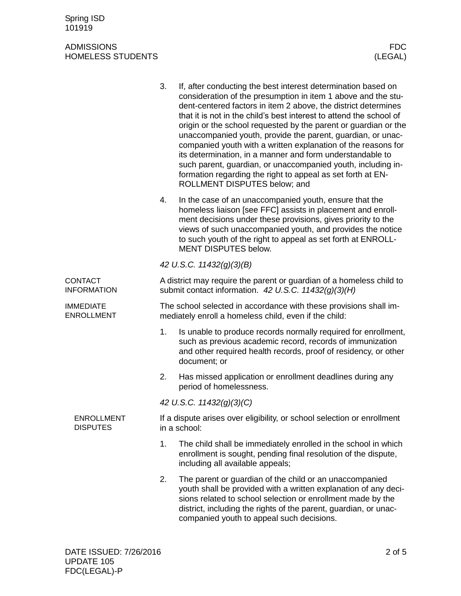Spring ISD 101919

## ADMISSIONS FDC HOMELESS STUDENTS

|                                       | 3.                                                                                                                         | If, after conducting the best interest determination based on<br>consideration of the presumption in item 1 above and the stu-<br>dent-centered factors in item 2 above, the district determines<br>that it is not in the child's best interest to attend the school of<br>origin or the school requested by the parent or guardian or the<br>unaccompanied youth, provide the parent, guardian, or unac-<br>companied youth with a written explanation of the reasons for<br>its determination, in a manner and form understandable to<br>such parent, guardian, or unaccompanied youth, including in-<br>formation regarding the right to appeal as set forth at EN-<br>ROLLMENT DISPUTES below; and |  |
|---------------------------------------|----------------------------------------------------------------------------------------------------------------------------|--------------------------------------------------------------------------------------------------------------------------------------------------------------------------------------------------------------------------------------------------------------------------------------------------------------------------------------------------------------------------------------------------------------------------------------------------------------------------------------------------------------------------------------------------------------------------------------------------------------------------------------------------------------------------------------------------------|--|
|                                       | 4.                                                                                                                         | In the case of an unaccompanied youth, ensure that the<br>homeless liaison [see FFC] assists in placement and enroll-<br>ment decisions under these provisions, gives priority to the<br>views of such unaccompanied youth, and provides the notice<br>to such youth of the right to appeal as set forth at ENROLL-<br><b>MENT DISPUTES below.</b>                                                                                                                                                                                                                                                                                                                                                     |  |
|                                       | 42 U.S.C. 11432(g)(3)(B)                                                                                                   |                                                                                                                                                                                                                                                                                                                                                                                                                                                                                                                                                                                                                                                                                                        |  |
| <b>CONTACT</b><br><b>INFORMATION</b>  |                                                                                                                            | A district may require the parent or guardian of a homeless child to<br>submit contact information. 42 U.S.C. 11432(g)(3)(H)                                                                                                                                                                                                                                                                                                                                                                                                                                                                                                                                                                           |  |
| <b>IMMEDIATE</b><br><b>ENROLLMENT</b> | The school selected in accordance with these provisions shall im-<br>mediately enroll a homeless child, even if the child: |                                                                                                                                                                                                                                                                                                                                                                                                                                                                                                                                                                                                                                                                                                        |  |
|                                       | 1.                                                                                                                         | Is unable to produce records normally required for enrollment,<br>such as previous academic record, records of immunization<br>and other required health records, proof of residency, or other<br>document; or                                                                                                                                                                                                                                                                                                                                                                                                                                                                                         |  |
|                                       | 2.                                                                                                                         | Has missed application or enrollment deadlines during any<br>period of homelessness.                                                                                                                                                                                                                                                                                                                                                                                                                                                                                                                                                                                                                   |  |
|                                       | 42 U.S.C. 11432(g)(3)(C)                                                                                                   |                                                                                                                                                                                                                                                                                                                                                                                                                                                                                                                                                                                                                                                                                                        |  |
| <b>ENROLLMENT</b><br><b>DISPUTES</b>  | If a dispute arises over eligibility, or school selection or enrollment<br>in a school:                                    |                                                                                                                                                                                                                                                                                                                                                                                                                                                                                                                                                                                                                                                                                                        |  |
|                                       | 1.                                                                                                                         | The child shall be immediately enrolled in the school in which<br>enrollment is sought, pending final resolution of the dispute,<br>including all available appeals;                                                                                                                                                                                                                                                                                                                                                                                                                                                                                                                                   |  |
|                                       | 2.                                                                                                                         | The parent or guardian of the child or an unaccompanied<br>youth shall be provided with a written explanation of any deci-<br>sions related to school selection or enrollment made by the<br>district, including the rights of the parent, guardian, or unac-<br>companied youth to appeal such decisions.                                                                                                                                                                                                                                                                                                                                                                                             |  |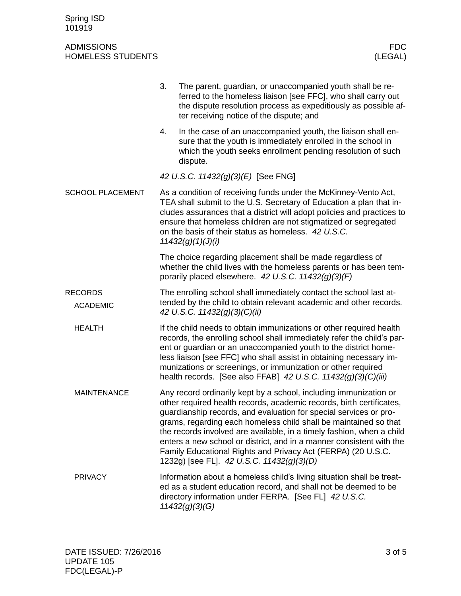## ADMISSIONS FDC HOMELESS STUDENTS

|                                   | 3.<br>The parent, guardian, or unaccompanied youth shall be re-<br>ferred to the homeless liaison [see FFC], who shall carry out<br>the dispute resolution process as expeditiously as possible af-<br>ter receiving notice of the dispute; and                                                                                                                                                                                                                                                                                                  |  |  |  |  |
|-----------------------------------|--------------------------------------------------------------------------------------------------------------------------------------------------------------------------------------------------------------------------------------------------------------------------------------------------------------------------------------------------------------------------------------------------------------------------------------------------------------------------------------------------------------------------------------------------|--|--|--|--|
|                                   | 4.<br>In the case of an unaccompanied youth, the liaison shall en-<br>sure that the youth is immediately enrolled in the school in<br>which the youth seeks enrollment pending resolution of such<br>dispute.                                                                                                                                                                                                                                                                                                                                    |  |  |  |  |
|                                   | 42 U.S.C. 11432(g)(3)(E) [See FNG]                                                                                                                                                                                                                                                                                                                                                                                                                                                                                                               |  |  |  |  |
| <b>SCHOOL PLACEMENT</b>           | As a condition of receiving funds under the McKinney-Vento Act,<br>TEA shall submit to the U.S. Secretary of Education a plan that in-<br>cludes assurances that a district will adopt policies and practices to<br>ensure that homeless children are not stigmatized or segregated<br>on the basis of their status as homeless. 42 U.S.C.<br>11432(g)(1)(J)(i)                                                                                                                                                                                  |  |  |  |  |
|                                   | The choice regarding placement shall be made regardless of<br>whether the child lives with the homeless parents or has been tem-<br>porarily placed elsewhere. 42 U.S.C. $11432(g)(3)(F)$                                                                                                                                                                                                                                                                                                                                                        |  |  |  |  |
| <b>RECORDS</b><br><b>ACADEMIC</b> | The enrolling school shall immediately contact the school last at-<br>tended by the child to obtain relevant academic and other records.<br>42 U.S.C. 11432(g)(3)(C)(ii)                                                                                                                                                                                                                                                                                                                                                                         |  |  |  |  |
| <b>HEALTH</b>                     | If the child needs to obtain immunizations or other required health<br>records, the enrolling school shall immediately refer the child's par-<br>ent or guardian or an unaccompanied youth to the district home-<br>less liaison [see FFC] who shall assist in obtaining necessary im-<br>munizations or screenings, or immunization or other required<br>health records. [See also FFAB] 42 U.S.C. $11432(g)(3)(C)(iii)$                                                                                                                        |  |  |  |  |
| <b>MAINTENANCE</b>                | Any record ordinarily kept by a school, including immunization or<br>other required health records, academic records, birth certificates,<br>guardianship records, and evaluation for special services or pro-<br>grams, regarding each homeless child shall be maintained so that<br>the records involved are available, in a timely fashion, when a child<br>enters a new school or district, and in a manner consistent with the<br>Family Educational Rights and Privacy Act (FERPA) (20 U.S.C.<br>1232g) [see FL]. 42 U.S.C. 11432(g)(3)(D) |  |  |  |  |
| <b>PRIVACY</b>                    | Information about a homeless child's living situation shall be treat-<br>ed as a student education record, and shall not be deemed to be<br>directory information under FERPA. [See FL] 42 U.S.C.<br>11432(g)(3)(G)                                                                                                                                                                                                                                                                                                                              |  |  |  |  |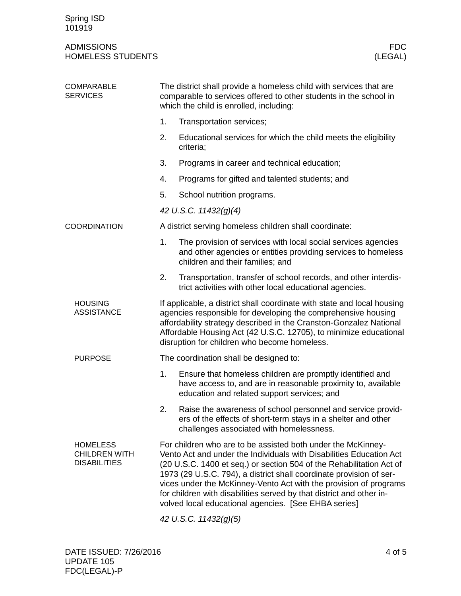| Spring ISD<br>101919                                           |                                                                                                                                                                                                                                                                                                                                     |                                                                                                                                                                                                                                                                                                                                                                                                                                                                                                                  |  |
|----------------------------------------------------------------|-------------------------------------------------------------------------------------------------------------------------------------------------------------------------------------------------------------------------------------------------------------------------------------------------------------------------------------|------------------------------------------------------------------------------------------------------------------------------------------------------------------------------------------------------------------------------------------------------------------------------------------------------------------------------------------------------------------------------------------------------------------------------------------------------------------------------------------------------------------|--|
| <b>ADMISSIONS</b><br><b>HOMELESS STUDENTS</b>                  |                                                                                                                                                                                                                                                                                                                                     | <b>FDC</b><br>(LEGAL)                                                                                                                                                                                                                                                                                                                                                                                                                                                                                            |  |
| <b>COMPARABLE</b><br><b>SERVICES</b>                           |                                                                                                                                                                                                                                                                                                                                     | The district shall provide a homeless child with services that are<br>comparable to services offered to other students in the school in<br>which the child is enrolled, including:                                                                                                                                                                                                                                                                                                                               |  |
|                                                                | 1.                                                                                                                                                                                                                                                                                                                                  | Transportation services;                                                                                                                                                                                                                                                                                                                                                                                                                                                                                         |  |
|                                                                | 2.                                                                                                                                                                                                                                                                                                                                  | Educational services for which the child meets the eligibility<br>criteria;                                                                                                                                                                                                                                                                                                                                                                                                                                      |  |
|                                                                | 3.                                                                                                                                                                                                                                                                                                                                  | Programs in career and technical education;                                                                                                                                                                                                                                                                                                                                                                                                                                                                      |  |
|                                                                | 4.                                                                                                                                                                                                                                                                                                                                  | Programs for gifted and talented students; and                                                                                                                                                                                                                                                                                                                                                                                                                                                                   |  |
|                                                                | 5.                                                                                                                                                                                                                                                                                                                                  | School nutrition programs.                                                                                                                                                                                                                                                                                                                                                                                                                                                                                       |  |
|                                                                |                                                                                                                                                                                                                                                                                                                                     | 42 U.S.C. 11432(g)(4)                                                                                                                                                                                                                                                                                                                                                                                                                                                                                            |  |
| <b>COORDINATION</b>                                            |                                                                                                                                                                                                                                                                                                                                     | A district serving homeless children shall coordinate:                                                                                                                                                                                                                                                                                                                                                                                                                                                           |  |
|                                                                | 1.                                                                                                                                                                                                                                                                                                                                  | The provision of services with local social services agencies<br>and other agencies or entities providing services to homeless<br>children and their families; and                                                                                                                                                                                                                                                                                                                                               |  |
|                                                                | 2.                                                                                                                                                                                                                                                                                                                                  | Transportation, transfer of school records, and other interdis-<br>trict activities with other local educational agencies.                                                                                                                                                                                                                                                                                                                                                                                       |  |
| <b>HOUSING</b><br><b>ASSISTANCE</b>                            | If applicable, a district shall coordinate with state and local housing<br>agencies responsible for developing the comprehensive housing<br>affordability strategy described in the Cranston-Gonzalez National<br>Affordable Housing Act (42 U.S.C. 12705), to minimize educational<br>disruption for children who become homeless. |                                                                                                                                                                                                                                                                                                                                                                                                                                                                                                                  |  |
| <b>PURPOSE</b>                                                 |                                                                                                                                                                                                                                                                                                                                     | The coordination shall be designed to:                                                                                                                                                                                                                                                                                                                                                                                                                                                                           |  |
|                                                                | 1.                                                                                                                                                                                                                                                                                                                                  | Ensure that homeless children are promptly identified and<br>have access to, and are in reasonable proximity to, available<br>education and related support services; and                                                                                                                                                                                                                                                                                                                                        |  |
|                                                                | 2.                                                                                                                                                                                                                                                                                                                                  | Raise the awareness of school personnel and service provid-<br>ers of the effects of short-term stays in a shelter and other<br>challenges associated with homelessness.                                                                                                                                                                                                                                                                                                                                         |  |
| <b>HOMELESS</b><br><b>CHILDREN WITH</b><br><b>DISABILITIES</b> |                                                                                                                                                                                                                                                                                                                                     | For children who are to be assisted both under the McKinney-<br>Vento Act and under the Individuals with Disabilities Education Act<br>(20 U.S.C. 1400 et seq.) or section 504 of the Rehabilitation Act of<br>1973 (29 U.S.C. 794), a district shall coordinate provision of ser-<br>vices under the McKinney-Vento Act with the provision of programs<br>for children with disabilities served by that district and other in-<br>volved local educational agencies. [See EHBA series]<br>42 U.S.C. 11432(g)(5) |  |